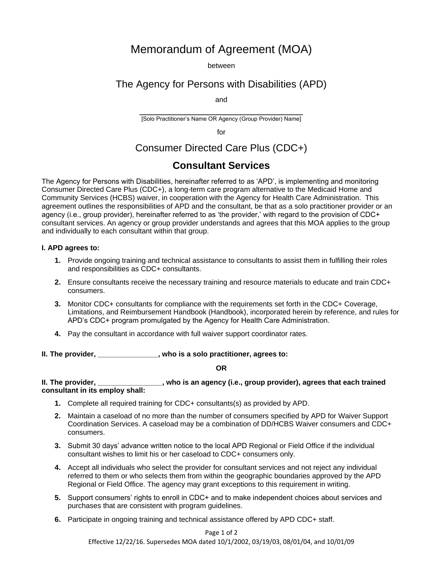# Memorandum of Agreement (MOA)

between

### The Agency for Persons with Disabilities (APD)

and

\_\_\_\_\_\_\_\_\_\_\_\_\_\_\_\_\_\_\_\_\_\_\_\_\_\_\_\_\_ [Solo Practitioner's Name OR Agency (Group Provider) Name]

for

## Consumer Directed Care Plus (CDC+)

## **Consultant Services**

The Agency for Persons with Disabilities, hereinafter referred to as 'APD', is implementing and monitoring Consumer Directed Care Plus (CDC+), a long-term care program alternative to the Medicaid Home and Community Services (HCBS) waiver, in cooperation with the Agency for Health Care Administration. This agreement outlines the responsibilities of APD and the consultant, be that as a solo practitioner provider or an agency (i.e., group provider), hereinafter referred to as 'the provider,' with regard to the provision of CDC+ consultant services. An agency or group provider understands and agrees that this MOA applies to the group and individually to each consultant within that group.

#### **I. APD agrees to:**

- **1.** Provide ongoing training and technical assistance to consultants to assist them in fulfilling their roles and responsibilities as CDC+ consultants.
- **2.** Ensure consultants receive the necessary training and resource materials to educate and train CDC+ consumers.
- **3.** Monitor CDC+ consultants for compliance with the requirements set forth in the CDC+ Coverage, Limitations, and Reimbursement Handbook (Handbook), incorporated herein by reference, and rules for APD's CDC+ program promulgated by the Agency for Health Care Administration.
- **4.** Pay the consultant in accordance with full waiver support coordinator rates.

**II. The provider, \_\_\_\_\_\_\_\_\_\_\_\_\_\_\_, who is a solo practitioner, agrees to:**

#### **OR**

#### **II. The provider, \_\_\_\_\_\_\_\_\_\_\_\_\_\_\_\_, who is an agency (i.e., group provider), agrees that each trained consultant in its employ shall:**

- **1.** Complete all required training for CDC+ consultants(s) as provided by APD.
- **2.** Maintain a caseload of no more than the number of consumers specified by APD for Waiver Support Coordination Services. A caseload may be a combination of DD/HCBS Waiver consumers and CDC+ consumers.
- **3.** Submit 30 days' advance written notice to the local APD Regional or Field Office if the individual consultant wishes to limit his or her caseload to CDC+ consumers only.
- **4.** Accept all individuals who select the provider for consultant services and not reject any individual referred to them or who selects them from within the geographic boundaries approved by the APD Regional or Field Office. The agency may grant exceptions to this requirement in writing.
- **5.** Support consumers' rights to enroll in CDC+ and to make independent choices about services and purchases that are consistent with program guidelines.
- **6.** Participate in ongoing training and technical assistance offered by APD CDC+ staff.